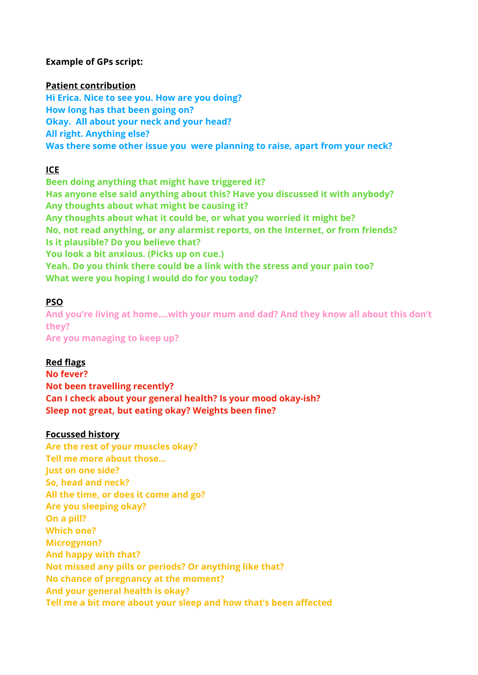### **Example of GPs script:**

#### **Patient contribution**

**Hi Erica. Nice to see you. How are you doing? How long has that been going on? Okay. All about your neck and your head? All right. Anything else? Was there some other issue you were planning to raise, apart from your neck?** 

## **ICE**

**Been doing anything that might have triggered it? Has anyone else said anything about this? Have you discussed it with anybody? Any thoughts about what might be causing it? Any thoughts about what it could be, or what you worried it might be? No, not read anything, or any alarmist reports, on the Internet, or from friends? Is it plausible? Do you believe that? You look a bit anxious. (Picks up on cue.) Yeah. Do you think there could be a link with the stress and your pain too? What were you hoping I would do for you today?** 

## **PSO**

**And you're living at home….with your mum and dad? And they know all about this don't they? Are you managing to keep up?** 

### **Red flags**

**No fever? Not been travelling recently? Can I check about your general health? Is your mood okay-ish? Sleep not great, but eating okay? Weights been fine?** 

### **Focussed history**

**Are the rest of your muscles okay? Tell me more about those… Just on one side? So, head and neck? All the time, or does it come and go? Are you sleeping okay? On a pill? Which one? Microgynon? And happy with that? Not missed any pills or periods? Or anything like that? No chance of pregnancy at the moment? And your general health is okay? Tell me a bit more about your sleep and how that's been affected**